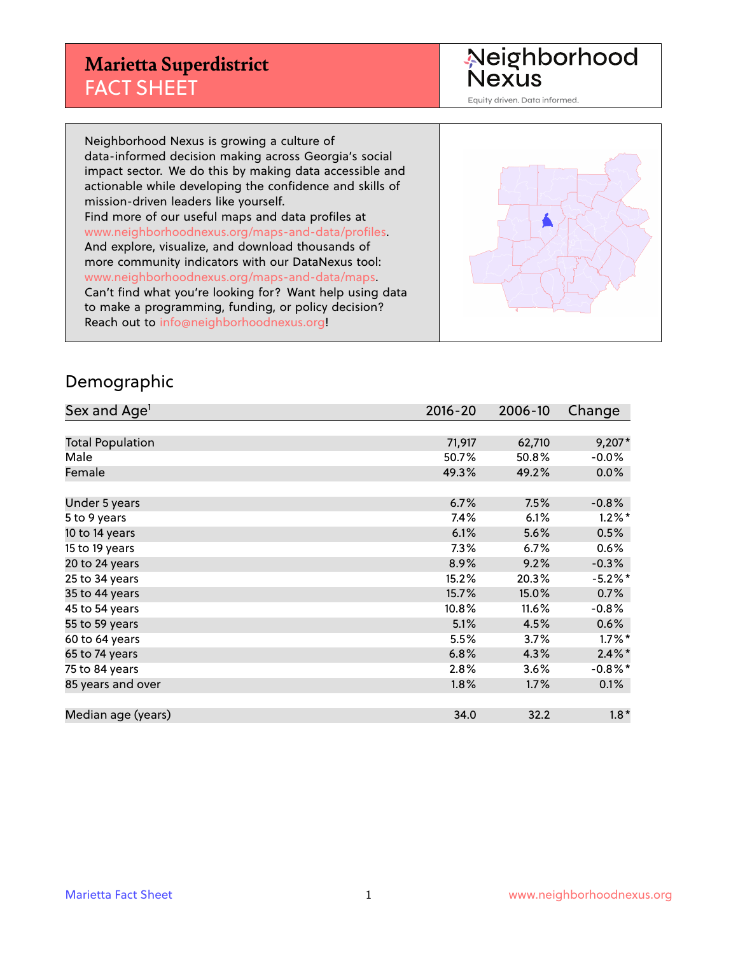### **Marietta Superdistrict** FACT SHEET

Neighborhood<br>Nexus

Equity driven. Data informed.

Neighborhood Nexus is growing a culture of data-informed decision making across Georgia's social impact sector. We do this by making data accessible and actionable while developing the confidence and skills of mission-driven leaders like yourself. Find more of our useful maps and data profiles at www.neighborhoodnexus.org/maps-and-data/profiles. And explore, visualize, and download thousands of more community indicators with our DataNexus tool: www.neighborhoodnexus.org/maps-and-data/maps. Can't find what you're looking for? Want help using data to make a programming, funding, or policy decision? Reach out to [info@neighborhoodnexus.org!](mailto:info@neighborhoodnexus.org)

#### Demographic

| Sex and Age <sup>1</sup> | $2016 - 20$ | 2006-10 | Change     |
|--------------------------|-------------|---------|------------|
|                          |             |         |            |
| <b>Total Population</b>  | 71,917      | 62,710  | $9,207*$   |
| Male                     | 50.7%       | 50.8%   | $-0.0\%$   |
| Female                   | 49.3%       | 49.2%   | $0.0\%$    |
|                          |             |         |            |
| Under 5 years            | 6.7%        | 7.5%    | $-0.8%$    |
| 5 to 9 years             | 7.4%        | 6.1%    | $1.2\%$ *  |
| 10 to 14 years           | 6.1%        | 5.6%    | 0.5%       |
| 15 to 19 years           | $7.3\%$     | 6.7%    | $0.6\%$    |
| 20 to 24 years           | 8.9%        | 9.2%    | $-0.3%$    |
| 25 to 34 years           | 15.2%       | 20.3%   | $-5.2%$ *  |
| 35 to 44 years           | 15.7%       | 15.0%   | 0.7%       |
| 45 to 54 years           | 10.8%       | 11.6%   | $-0.8%$    |
| 55 to 59 years           | 5.1%        | 4.5%    | 0.6%       |
| 60 to 64 years           | 5.5%        | 3.7%    | $1.7\%$ *  |
| 65 to 74 years           | 6.8%        | 4.3%    | $2.4\%$ *  |
| 75 to 84 years           | 2.8%        | 3.6%    | $-0.8\%$ * |
| 85 years and over        | 1.8%        | 1.7%    | 0.1%       |
|                          |             |         |            |
| Median age (years)       | 34.0        | 32.2    | $1.8*$     |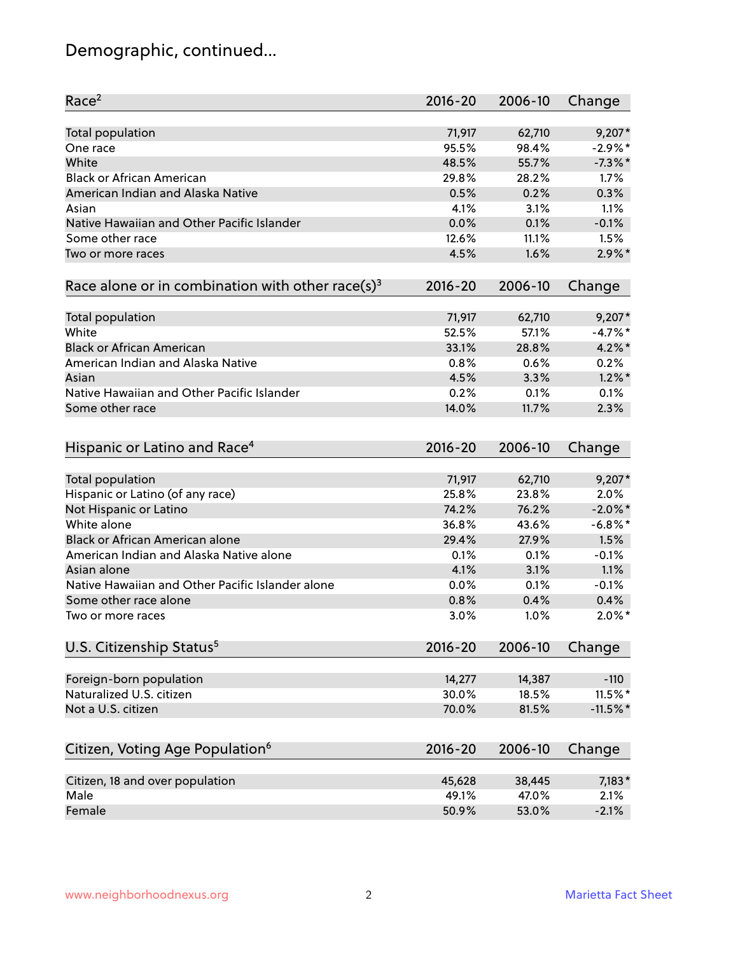# Demographic, continued...

| Race <sup>2</sup>                                            | $2016 - 20$ | 2006-10 | Change     |
|--------------------------------------------------------------|-------------|---------|------------|
| <b>Total population</b>                                      | 71,917      | 62,710  | $9,207*$   |
| One race                                                     | 95.5%       | 98.4%   | $-2.9\%$ * |
| White                                                        | 48.5%       | 55.7%   | $-7.3\%$ * |
| <b>Black or African American</b>                             | 29.8%       | 28.2%   | 1.7%       |
| American Indian and Alaska Native                            | 0.5%        | 0.2%    | 0.3%       |
| Asian                                                        | 4.1%        | 3.1%    | 1.1%       |
| Native Hawaiian and Other Pacific Islander                   | 0.0%        | 0.1%    | $-0.1%$    |
| Some other race                                              | 12.6%       | 11.1%   | 1.5%       |
| Two or more races                                            | 4.5%        | 1.6%    | $2.9\%$ *  |
| Race alone or in combination with other race(s) <sup>3</sup> | $2016 - 20$ | 2006-10 | Change     |
|                                                              |             |         |            |
| <b>Total population</b>                                      | 71,917      | 62,710  | $9,207*$   |
| White                                                        | 52.5%       | 57.1%   | $-4.7%$ *  |
| <b>Black or African American</b>                             | 33.1%       | 28.8%   | $4.2\%$ *  |
| American Indian and Alaska Native                            | 0.8%        | 0.6%    | 0.2%       |
| Asian                                                        | 4.5%        | 3.3%    | $1.2\%$ *  |
| Native Hawaiian and Other Pacific Islander                   | 0.2%        | 0.1%    | 0.1%       |
| Some other race                                              | 14.0%       | 11.7%   | 2.3%       |
|                                                              |             |         |            |
| Hispanic or Latino and Race <sup>4</sup>                     | $2016 - 20$ | 2006-10 | Change     |
| <b>Total population</b>                                      | 71,917      | 62,710  | $9,207*$   |
| Hispanic or Latino (of any race)                             | 25.8%       | 23.8%   | 2.0%       |
| Not Hispanic or Latino                                       | 74.2%       | 76.2%   | $-2.0\%$ * |
| White alone                                                  | 36.8%       | 43.6%   | $-6.8\%$ * |
| Black or African American alone                              | 29.4%       | 27.9%   | 1.5%       |
| American Indian and Alaska Native alone                      | 0.1%        | 0.1%    | $-0.1%$    |
| Asian alone                                                  | 4.1%        | 3.1%    | 1.1%       |
| Native Hawaiian and Other Pacific Islander alone             | 0.0%        | 0.1%    | $-0.1%$    |
| Some other race alone                                        | 0.8%        | 0.4%    | 0.4%       |
| Two or more races                                            | 3.0%        | 1.0%    | $2.0\%$ *  |
| U.S. Citizenship Status <sup>5</sup>                         | $2016 - 20$ | 2006-10 | Change     |
|                                                              |             |         |            |
| Foreign-born population                                      | 14,277      | 14,387  | $-110$     |
| Naturalized U.S. citizen                                     | 30.0%       | 18.5%   | 11.5%*     |
| Not a U.S. citizen                                           | 70.0%       | 81.5%   | $-11.5%$   |
|                                                              |             |         |            |
| Citizen, Voting Age Population <sup>6</sup>                  | $2016 - 20$ | 2006-10 | Change     |
| Citizen, 18 and over population                              | 45,628      | 38,445  | $7,183*$   |
| Male                                                         | 49.1%       | 47.0%   | 2.1%       |
| Female                                                       | 50.9%       | 53.0%   | $-2.1%$    |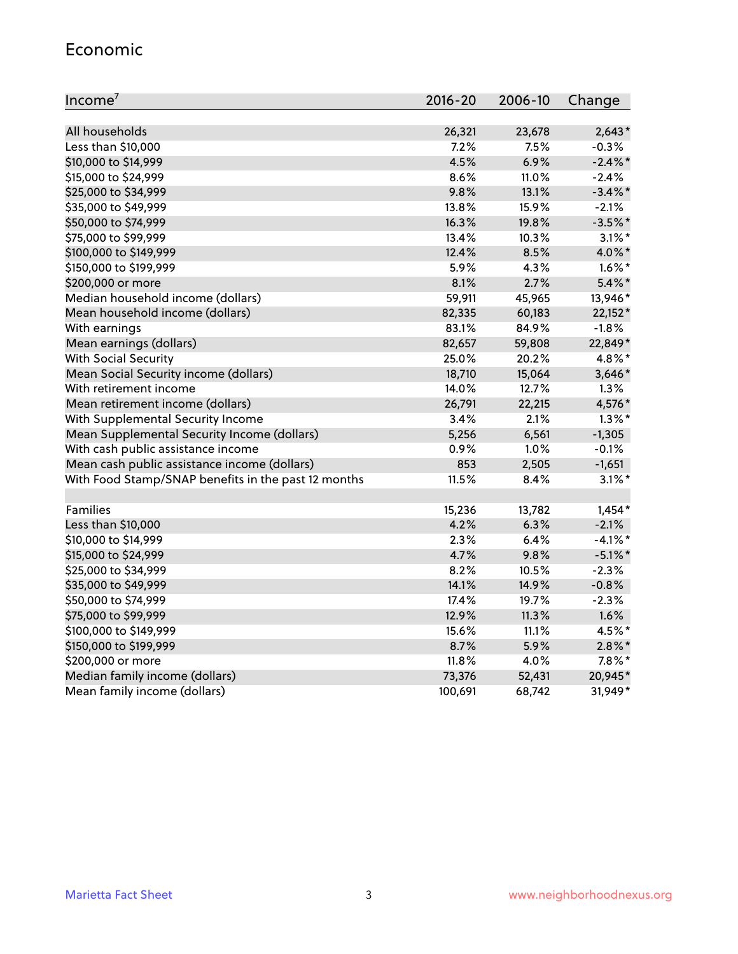#### Economic

| Income <sup>7</sup>                                 | 2016-20 | 2006-10 | Change     |
|-----------------------------------------------------|---------|---------|------------|
|                                                     |         |         |            |
| All households                                      | 26,321  | 23,678  | $2,643*$   |
| Less than \$10,000                                  | 7.2%    | 7.5%    | $-0.3%$    |
| \$10,000 to \$14,999                                | 4.5%    | 6.9%    | $-2.4\%$ * |
| \$15,000 to \$24,999                                | 8.6%    | 11.0%   | $-2.4%$    |
| \$25,000 to \$34,999                                | 9.8%    | 13.1%   | $-3.4\%$ * |
| \$35,000 to \$49,999                                | 13.8%   | 15.9%   | $-2.1%$    |
| \$50,000 to \$74,999                                | 16.3%   | 19.8%   | $-3.5%$ *  |
| \$75,000 to \$99,999                                | 13.4%   | 10.3%   | $3.1\%$ *  |
| \$100,000 to \$149,999                              | 12.4%   | 8.5%    | 4.0%*      |
| \$150,000 to \$199,999                              | 5.9%    | 4.3%    | $1.6\%$ *  |
| \$200,000 or more                                   | 8.1%    | 2.7%    | $5.4\%$ *  |
| Median household income (dollars)                   | 59,911  | 45,965  | 13,946*    |
| Mean household income (dollars)                     | 82,335  | 60,183  | $22,152*$  |
| With earnings                                       | 83.1%   | 84.9%   | $-1.8%$    |
| Mean earnings (dollars)                             | 82,657  | 59,808  | 22,849*    |
| <b>With Social Security</b>                         | 25.0%   | 20.2%   | 4.8%*      |
| Mean Social Security income (dollars)               | 18,710  | 15,064  | 3,646*     |
| With retirement income                              | 14.0%   | 12.7%   | 1.3%       |
| Mean retirement income (dollars)                    | 26,791  | 22,215  | 4,576*     |
| With Supplemental Security Income                   | 3.4%    | 2.1%    | $1.3\%$ *  |
| Mean Supplemental Security Income (dollars)         | 5,256   | 6,561   | $-1,305$   |
| With cash public assistance income                  | 0.9%    | 1.0%    | $-0.1%$    |
| Mean cash public assistance income (dollars)        | 853     | 2,505   | $-1,651$   |
| With Food Stamp/SNAP benefits in the past 12 months | 11.5%   | 8.4%    | $3.1\%$ *  |
|                                                     |         |         |            |
| Families                                            | 15,236  | 13,782  | $1,454*$   |
| Less than \$10,000                                  | 4.2%    | 6.3%    | $-2.1%$    |
| \$10,000 to \$14,999                                | 2.3%    | 6.4%    | $-4.1\%$ * |
| \$15,000 to \$24,999                                | 4.7%    | 9.8%    | $-5.1\%$ * |
| \$25,000 to \$34,999                                | 8.2%    | 10.5%   | $-2.3%$    |
| \$35,000 to \$49,999                                | 14.1%   | 14.9%   | $-0.8%$    |
| \$50,000 to \$74,999                                | 17.4%   | 19.7%   | $-2.3%$    |
| \$75,000 to \$99,999                                | 12.9%   | 11.3%   | 1.6%       |
| \$100,000 to \$149,999                              | 15.6%   | 11.1%   | 4.5%*      |
| \$150,000 to \$199,999                              | 8.7%    | 5.9%    | $2.8\%$ *  |
| \$200,000 or more                                   | 11.8%   | 4.0%    | $7.8\%$ *  |
| Median family income (dollars)                      | 73,376  | 52,431  | 20,945*    |
| Mean family income (dollars)                        | 100,691 | 68,742  | 31,949*    |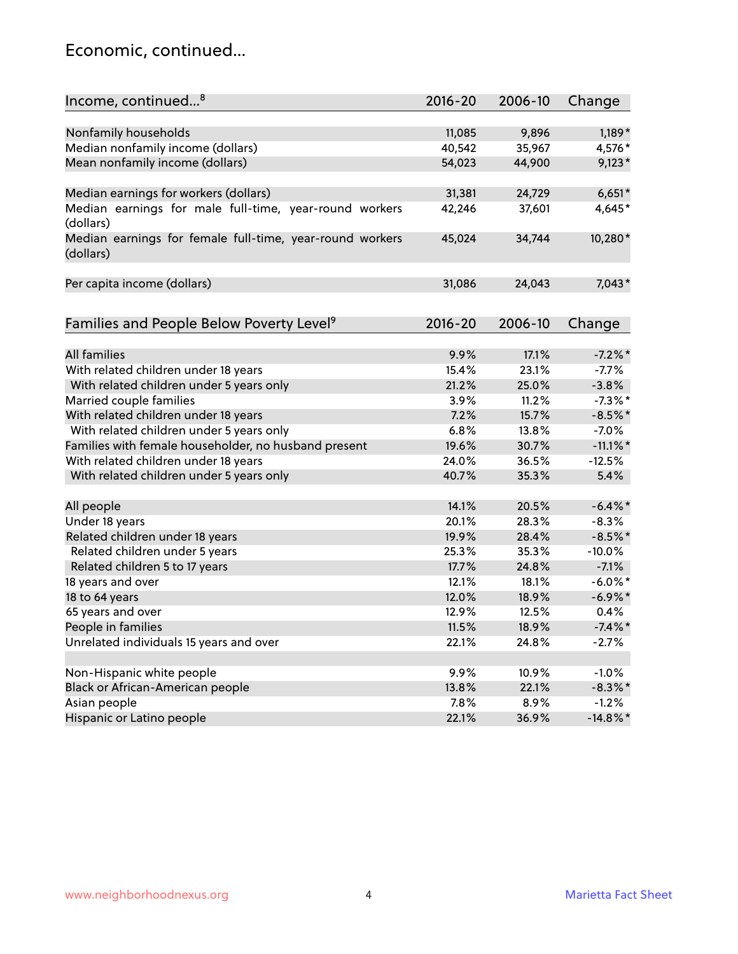### Economic, continued...

| Income, continued <sup>8</sup>                           | $2016 - 20$ | 2006-10 | Change      |
|----------------------------------------------------------|-------------|---------|-------------|
|                                                          |             |         |             |
| Nonfamily households                                     | 11,085      | 9,896   | $1,189*$    |
| Median nonfamily income (dollars)                        | 40,542      | 35,967  | 4,576*      |
| Mean nonfamily income (dollars)                          | 54,023      | 44,900  | $9,123*$    |
|                                                          |             |         |             |
| Median earnings for workers (dollars)                    | 31,381      | 24,729  | $6,651*$    |
| Median earnings for male full-time, year-round workers   | 42,246      | 37,601  | 4,645*      |
| (dollars)                                                |             |         |             |
| Median earnings for female full-time, year-round workers | 45,024      | 34,744  | 10,280*     |
| (dollars)                                                |             |         |             |
|                                                          |             |         |             |
| Per capita income (dollars)                              | 31,086      | 24,043  | $7,043*$    |
|                                                          |             |         |             |
|                                                          |             |         |             |
| Families and People Below Poverty Level <sup>9</sup>     | $2016 - 20$ | 2006-10 | Change      |
|                                                          |             |         |             |
| <b>All families</b>                                      | 9.9%        | 17.1%   | $-7.2%$ *   |
| With related children under 18 years                     | 15.4%       | 23.1%   | $-7.7%$     |
| With related children under 5 years only                 | 21.2%       | 25.0%   | $-3.8%$     |
| Married couple families                                  | 3.9%        | 11.2%   | $-7.3\%$ *  |
| With related children under 18 years                     | 7.2%        | 15.7%   | $-8.5%$ *   |
| With related children under 5 years only                 | 6.8%        | 13.8%   | $-7.0%$     |
| Families with female householder, no husband present     | 19.6%       | 30.7%   | $-11.1\%$ * |
| With related children under 18 years                     | 24.0%       | 36.5%   | $-12.5%$    |
| With related children under 5 years only                 | 40.7%       | 35.3%   | 5.4%        |
|                                                          |             |         |             |
| All people                                               | 14.1%       | 20.5%   | $-6.4\%$ *  |
| Under 18 years                                           | 20.1%       | 28.3%   | $-8.3%$     |
| Related children under 18 years                          | 19.9%       | 28.4%   | $-8.5%$ *   |
| Related children under 5 years                           | 25.3%       | 35.3%   | $-10.0%$    |
| Related children 5 to 17 years                           | 17.7%       | 24.8%   | $-7.1%$     |
| 18 years and over                                        | 12.1%       | 18.1%   | $-6.0\%$ *  |
| 18 to 64 years                                           | 12.0%       | 18.9%   | $-6.9\%$ *  |
| 65 years and over                                        | 12.9%       | 12.5%   | 0.4%        |
| People in families                                       | 11.5%       | 18.9%   | $-7.4\%$ *  |
| Unrelated individuals 15 years and over                  | 22.1%       | 24.8%   | $-2.7%$     |
|                                                          |             |         |             |
| Non-Hispanic white people                                | 9.9%        | 10.9%   | $-1.0%$     |
| Black or African-American people                         | 13.8%       | 22.1%   | $-8.3\%$ *  |
| Asian people                                             | 7.8%        | 8.9%    | $-1.2%$     |
| Hispanic or Latino people                                | 22.1%       | 36.9%   | $-14.8\%$ * |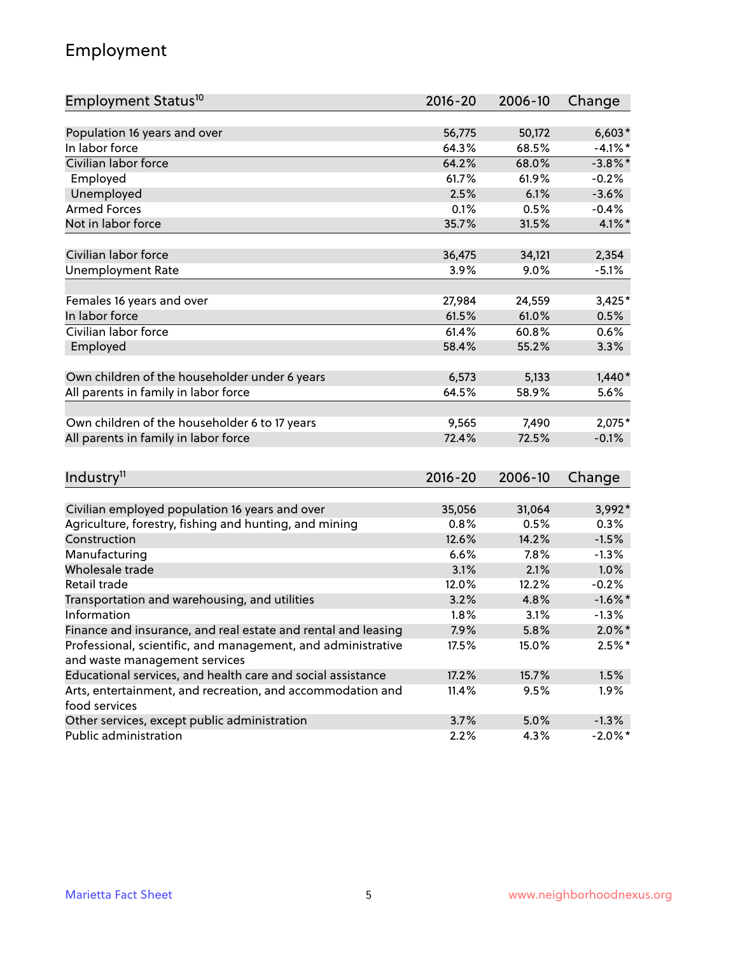# Employment

| Employment Status <sup>10</sup>                                             | $2016 - 20$ | 2006-10 | Change     |
|-----------------------------------------------------------------------------|-------------|---------|------------|
|                                                                             |             |         |            |
| Population 16 years and over                                                | 56,775      | 50,172  | $6,603*$   |
| In labor force                                                              | 64.3%       | 68.5%   | $-4.1%$ *  |
| Civilian labor force                                                        | 64.2%       | 68.0%   | $-3.8\%$ * |
| Employed                                                                    | 61.7%       | 61.9%   | $-0.2%$    |
| Unemployed                                                                  | 2.5%        | 6.1%    | $-3.6%$    |
| <b>Armed Forces</b>                                                         | 0.1%        | 0.5%    | $-0.4%$    |
| Not in labor force                                                          | 35.7%       | 31.5%   | $4.1\%$ *  |
| Civilian labor force                                                        | 36,475      | 34,121  | 2,354      |
| <b>Unemployment Rate</b>                                                    | 3.9%        | 9.0%    | $-5.1%$    |
|                                                                             |             |         |            |
| Females 16 years and over                                                   | 27,984      | 24,559  | $3,425*$   |
| In labor force                                                              | 61.5%       | 61.0%   | 0.5%       |
| Civilian labor force                                                        | 61.4%       | 60.8%   | 0.6%       |
| Employed                                                                    | 58.4%       | 55.2%   | 3.3%       |
| Own children of the householder under 6 years                               | 6,573       | 5,133   | $1,440*$   |
| All parents in family in labor force                                        | 64.5%       | 58.9%   | 5.6%       |
|                                                                             |             |         |            |
| Own children of the householder 6 to 17 years                               | 9,565       | 7,490   | 2,075*     |
| All parents in family in labor force                                        | 72.4%       | 72.5%   | $-0.1%$    |
|                                                                             |             |         |            |
| Industry <sup>11</sup>                                                      | $2016 - 20$ | 2006-10 | Change     |
|                                                                             |             |         |            |
| Civilian employed population 16 years and over                              | 35,056      | 31,064  | 3,992*     |
| Agriculture, forestry, fishing and hunting, and mining                      | 0.8%        | 0.5%    | 0.3%       |
| Construction                                                                | 12.6%       | 14.2%   | $-1.5%$    |
| Manufacturing                                                               | 6.6%        | 7.8%    | $-1.3%$    |
| Wholesale trade                                                             | 3.1%        | 2.1%    | 1.0%       |
| Retail trade                                                                | 12.0%       | 12.2%   | $-0.2%$    |
| Transportation and warehousing, and utilities                               | 3.2%        | 4.8%    | $-1.6\%$ * |
| Information                                                                 | 1.8%        | 3.1%    | $-1.3%$    |
| Finance and insurance, and real estate and rental and leasing               | 7.9%        | 5.8%    | $2.0\%$ *  |
| Professional, scientific, and management, and administrative                | 17.5%       | 15.0%   | $2.5%$ *   |
| and waste management services                                               |             |         |            |
| Educational services, and health care and social assistance                 | 17.2%       | 15.7%   | 1.5%       |
| Arts, entertainment, and recreation, and accommodation and<br>food services | 11.4%       | 9.5%    | 1.9%       |
| Other services, except public administration                                | 3.7%        | 5.0%    | $-1.3%$    |
| Public administration                                                       | 2.2%        | 4.3%    | $-2.0\%$ * |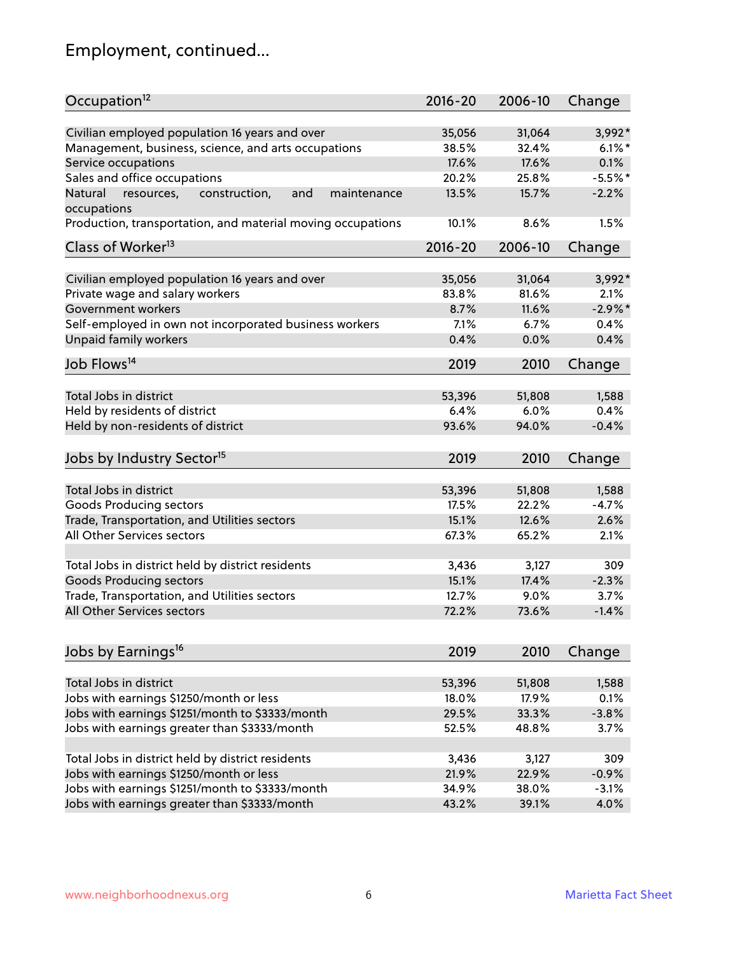# Employment, continued...

| Occupation <sup>12</sup>                                                    | $2016 - 20$ | 2006-10 | Change    |
|-----------------------------------------------------------------------------|-------------|---------|-----------|
| Civilian employed population 16 years and over                              | 35,056      | 31,064  | 3,992*    |
| Management, business, science, and arts occupations                         | 38.5%       | 32.4%   | $6.1\%$ * |
| Service occupations                                                         | 17.6%       | 17.6%   | 0.1%      |
| Sales and office occupations                                                | 20.2%       | 25.8%   | $-5.5%$ * |
|                                                                             |             |         | $-2.2%$   |
| Natural<br>and<br>resources,<br>construction,<br>maintenance<br>occupations | 13.5%       | 15.7%   |           |
| Production, transportation, and material moving occupations                 | 10.1%       | 8.6%    | 1.5%      |
| Class of Worker <sup>13</sup>                                               | $2016 - 20$ | 2006-10 | Change    |
|                                                                             |             |         |           |
| Civilian employed population 16 years and over                              | 35,056      | 31,064  | 3,992*    |
| Private wage and salary workers                                             | 83.8%       | 81.6%   | 2.1%      |
| Government workers                                                          | 8.7%        | 11.6%   | $-2.9%$ * |
| Self-employed in own not incorporated business workers                      | 7.1%        | 6.7%    | 0.4%      |
| Unpaid family workers                                                       | 0.4%        | 0.0%    | 0.4%      |
| Job Flows <sup>14</sup>                                                     | 2019        | 2010    | Change    |
|                                                                             |             |         |           |
| Total Jobs in district                                                      | 53,396      | 51,808  | 1,588     |
| Held by residents of district                                               | 6.4%        | 6.0%    | 0.4%      |
| Held by non-residents of district                                           | 93.6%       | 94.0%   | $-0.4%$   |
| Jobs by Industry Sector <sup>15</sup>                                       | 2019        | 2010    | Change    |
|                                                                             |             |         |           |
| Total Jobs in district                                                      | 53,396      | 51,808  | 1,588     |
| Goods Producing sectors                                                     | 17.5%       | 22.2%   | $-4.7%$   |
| Trade, Transportation, and Utilities sectors                                | 15.1%       | 12.6%   | 2.6%      |
| All Other Services sectors                                                  | 67.3%       | 65.2%   | 2.1%      |
|                                                                             |             |         |           |
| Total Jobs in district held by district residents                           | 3,436       | 3,127   | 309       |
| <b>Goods Producing sectors</b>                                              | 15.1%       | 17.4%   | $-2.3%$   |
| Trade, Transportation, and Utilities sectors                                | 12.7%       | 9.0%    | 3.7%      |
| All Other Services sectors                                                  | 72.2%       | 73.6%   | $-1.4%$   |
|                                                                             |             |         |           |
| Jobs by Earnings <sup>16</sup>                                              | 2019        | 2010    | Change    |
| Total Jobs in district                                                      | 53,396      | 51,808  | 1,588     |
| Jobs with earnings \$1250/month or less                                     | 18.0%       | 17.9%   | 0.1%      |
|                                                                             |             |         |           |
| Jobs with earnings \$1251/month to \$3333/month                             | 29.5%       | 33.3%   | $-3.8%$   |
| Jobs with earnings greater than \$3333/month                                | 52.5%       | 48.8%   | 3.7%      |
| Total Jobs in district held by district residents                           | 3,436       | 3,127   | 309       |
| Jobs with earnings \$1250/month or less                                     | 21.9%       | 22.9%   | $-0.9%$   |
| Jobs with earnings \$1251/month to \$3333/month                             | 34.9%       | 38.0%   | $-3.1%$   |
| Jobs with earnings greater than \$3333/month                                | 43.2%       | 39.1%   | 4.0%      |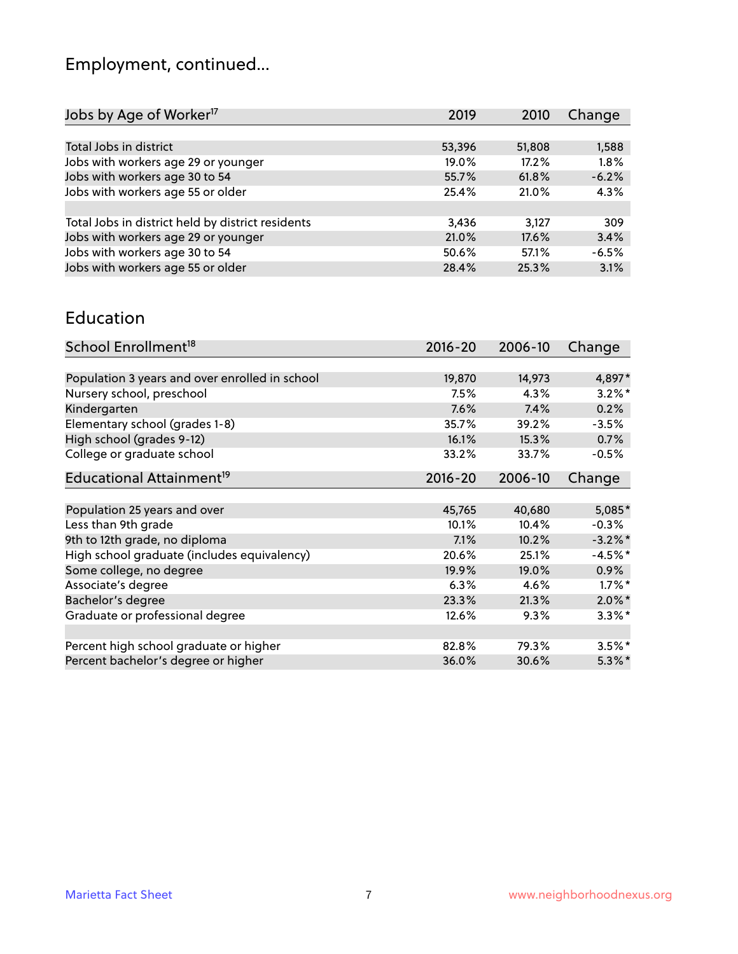# Employment, continued...

| Change  |
|---------|
|         |
| 1,588   |
| 1.8%    |
| $-6.2%$ |
| 4.3%    |
|         |
| 309     |
| 3.4%    |
| $-6.5%$ |
| 3.1%    |
|         |

#### Education

| School Enrollment <sup>18</sup>                | 2016-20 | 2006-10 | Change     |
|------------------------------------------------|---------|---------|------------|
|                                                |         |         |            |
| Population 3 years and over enrolled in school | 19,870  | 14,973  | 4,897*     |
| Nursery school, preschool                      | 7.5%    | 4.3%    | $3.2\%$ *  |
| Kindergarten                                   | 7.6%    | 7.4%    | 0.2%       |
| Elementary school (grades 1-8)                 | 35.7%   | 39.2%   | $-3.5%$    |
| High school (grades 9-12)                      | 16.1%   | 15.3%   | 0.7%       |
| College or graduate school                     | 33.2%   | 33.7%   | $-0.5%$    |
| Educational Attainment <sup>19</sup>           | 2016-20 | 2006-10 | Change     |
|                                                |         |         |            |
| Population 25 years and over                   | 45,765  | 40,680  | $5,085*$   |
| Less than 9th grade                            | 10.1%   | 10.4%   | $-0.3%$    |
| 9th to 12th grade, no diploma                  | 7.1%    | 10.2%   | $-3.2\%$ * |
| High school graduate (includes equivalency)    | 20.6%   | 25.1%   | $-4.5%$ *  |
| Some college, no degree                        | 19.9%   | 19.0%   | $0.9\%$    |
| Associate's degree                             | 6.3%    | 4.6%    | $1.7\%$ *  |
| Bachelor's degree                              | 23.3%   | 21.3%   | $2.0\%$ *  |
| Graduate or professional degree                | 12.6%   | 9.3%    | $3.3\%$ *  |
|                                                |         |         |            |
| Percent high school graduate or higher         | 82.8%   | 79.3%   | $3.5\%$ *  |
| Percent bachelor's degree or higher            | 36.0%   | 30.6%   | $5.3\%$ *  |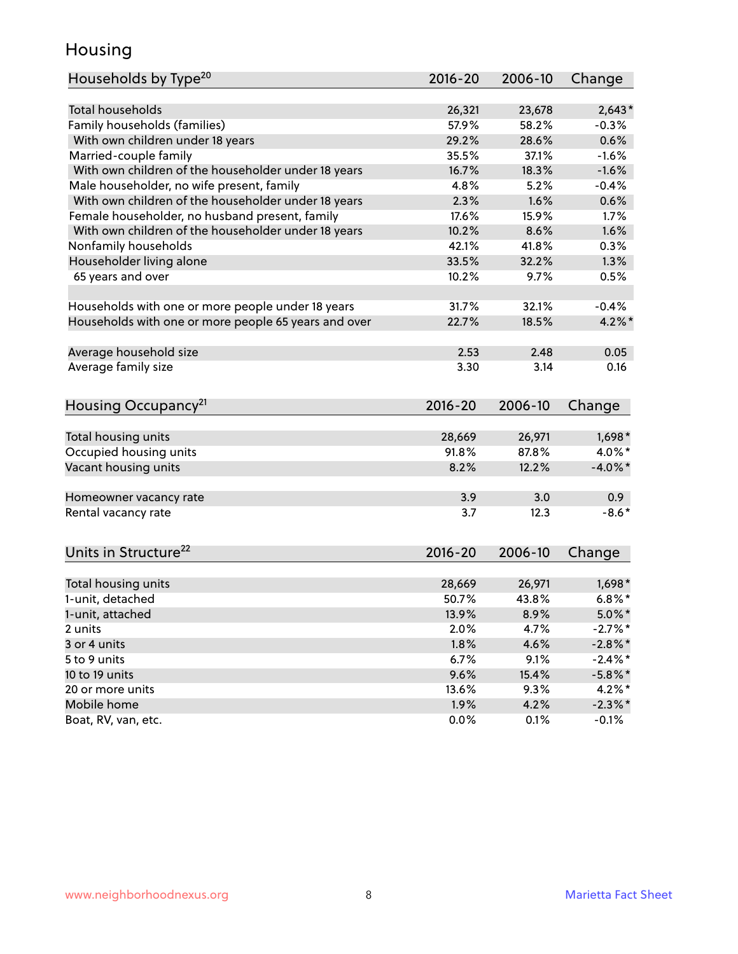### Housing

| Households by Type <sup>20</sup>                     | 2016-20     | 2006-10 | Change                  |
|------------------------------------------------------|-------------|---------|-------------------------|
|                                                      |             |         |                         |
| Total households                                     | 26,321      | 23,678  | $2,643*$                |
| Family households (families)                         | 57.9%       | 58.2%   | $-0.3%$                 |
| With own children under 18 years                     | 29.2%       | 28.6%   | 0.6%                    |
| Married-couple family                                | 35.5%       | 37.1%   | $-1.6%$                 |
| With own children of the householder under 18 years  | 16.7%       | 18.3%   | $-1.6%$                 |
| Male householder, no wife present, family            | 4.8%        | 5.2%    | $-0.4%$                 |
| With own children of the householder under 18 years  | 2.3%        | 1.6%    | 0.6%                    |
| Female householder, no husband present, family       | 17.6%       | 15.9%   | 1.7%                    |
| With own children of the householder under 18 years  | 10.2%       | 8.6%    | 1.6%                    |
| Nonfamily households                                 | 42.1%       | 41.8%   | 0.3%                    |
| Householder living alone                             | 33.5%       | 32.2%   | 1.3%                    |
| 65 years and over                                    | 10.2%       | 9.7%    | 0.5%                    |
|                                                      |             |         |                         |
| Households with one or more people under 18 years    | 31.7%       | 32.1%   | $-0.4%$                 |
| Households with one or more people 65 years and over | 22.7%       | 18.5%   | $4.2\%$ *               |
|                                                      |             |         |                         |
| Average household size                               | 2.53        | 2.48    | 0.05                    |
| Average family size                                  | 3.30        | 3.14    | 0.16                    |
|                                                      |             |         |                         |
| Housing Occupancy <sup>21</sup>                      | $2016 - 20$ | 2006-10 | Change                  |
|                                                      |             |         |                         |
| Total housing units                                  | 28,669      | 26,971  | $1,698*$                |
| Occupied housing units                               | 91.8%       | 87.8%   | 4.0%*                   |
| Vacant housing units                                 | 8.2%        | 12.2%   | $-4.0\%$ *              |
|                                                      |             |         |                         |
| Homeowner vacancy rate                               | 3.9         | 3.0     | 0.9 <sub>0</sub>        |
| Rental vacancy rate                                  | 3.7         | 12.3    | $-8.6*$                 |
|                                                      |             |         |                         |
| Units in Structure <sup>22</sup>                     | $2016 - 20$ | 2006-10 |                         |
|                                                      |             |         | Change                  |
| Total housing units                                  | 28,669      | 26,971  | $1,698*$                |
| 1-unit, detached                                     | 50.7%       | 43.8%   | $6.8\%$ *               |
| 1-unit, attached                                     | 13.9%       | 8.9%    | $5.0\%$ *               |
| 2 units                                              | 2.0%        | 4.7%    | $-2.7%$ *               |
| 3 or 4 units                                         | 1.8%        | 4.6%    | $-2.8\%$ *              |
| 5 to 9 units                                         | 6.7%        | 9.1%    | $-2.4\%$ *              |
| 10 to 19 units                                       | 9.6%        | 15.4%   |                         |
| 20 or more units                                     | 13.6%       | 9.3%    | $-5.8\%$ *<br>$4.2\%$ * |
| Mobile home                                          | 1.9%        | 4.2%    | $-2.3\%$ *              |
| Boat, RV, van, etc.                                  | 0.0%        | 0.1%    | $-0.1%$                 |
|                                                      |             |         |                         |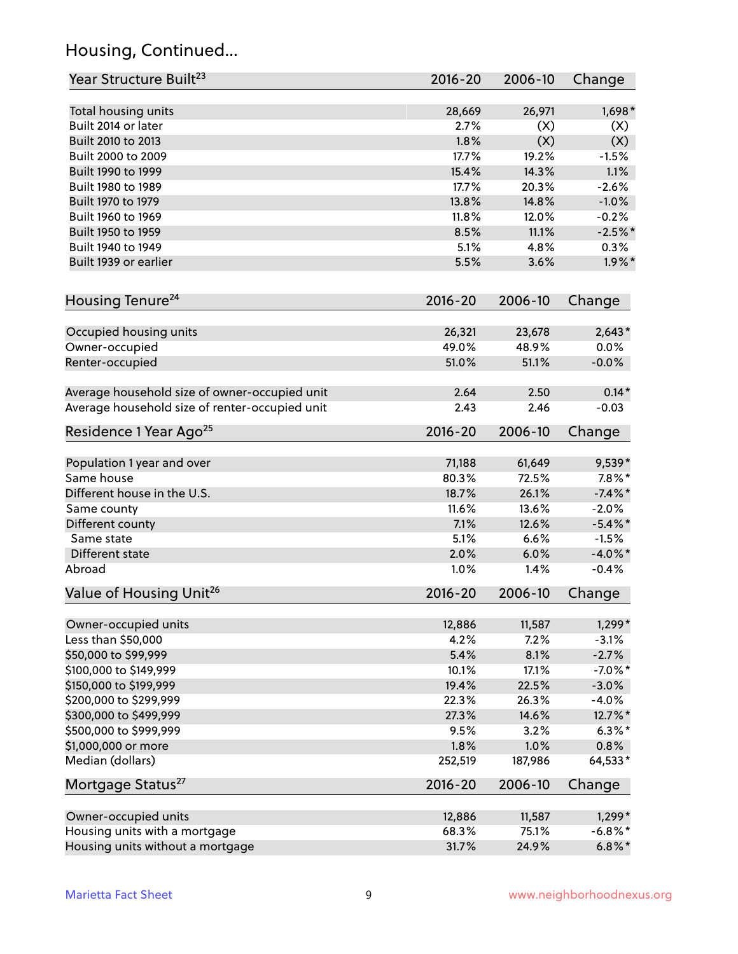# Housing, Continued...

| Year Structure Built <sup>23</sup>             | 2016-20     | 2006-10 | Change     |
|------------------------------------------------|-------------|---------|------------|
| Total housing units                            | 28,669      | 26,971  | $1,698*$   |
| Built 2014 or later                            | 2.7%        | (X)     | (X)        |
| Built 2010 to 2013                             | 1.8%        | (X)     | (X)        |
| Built 2000 to 2009                             | 17.7%       | 19.2%   | $-1.5%$    |
| Built 1990 to 1999                             | 15.4%       | 14.3%   | 1.1%       |
| Built 1980 to 1989                             | 17.7%       | 20.3%   | $-2.6%$    |
| Built 1970 to 1979                             | 13.8%       | 14.8%   | $-1.0%$    |
| Built 1960 to 1969                             | 11.8%       | 12.0%   | $-0.2%$    |
| Built 1950 to 1959                             | 8.5%        | 11.1%   | $-2.5%$ *  |
| Built 1940 to 1949                             | 5.1%        | 4.8%    | 0.3%       |
| Built 1939 or earlier                          | 5.5%        | 3.6%    | $1.9\%$ *  |
|                                                |             |         |            |
| Housing Tenure <sup>24</sup>                   | $2016 - 20$ | 2006-10 | Change     |
| Occupied housing units                         | 26,321      | 23,678  | $2,643*$   |
| Owner-occupied                                 | 49.0%       | 48.9%   | 0.0%       |
| Renter-occupied                                | 51.0%       | 51.1%   | $-0.0%$    |
| Average household size of owner-occupied unit  | 2.64        | 2.50    | $0.14*$    |
| Average household size of renter-occupied unit | 2.43        | 2.46    | $-0.03$    |
| Residence 1 Year Ago <sup>25</sup>             | $2016 - 20$ | 2006-10 | Change     |
|                                                |             |         |            |
| Population 1 year and over                     | 71,188      | 61,649  | $9,539*$   |
| Same house                                     | 80.3%       | 72.5%   | $7.8\%$ *  |
| Different house in the U.S.                    | 18.7%       | 26.1%   | $-7.4\%$ * |
| Same county                                    | 11.6%       | 13.6%   | $-2.0%$    |
| Different county                               | 7.1%        | 12.6%   | $-5.4\%$ * |
| Same state                                     | 5.1%        | 6.6%    | $-1.5%$    |
| Different state                                | 2.0%        | 6.0%    | $-4.0\%$ * |
| Abroad                                         | 1.0%        | 1.4%    | $-0.4%$    |
| Value of Housing Unit <sup>26</sup>            | $2016 - 20$ | 2006-10 | Change     |
| Owner-occupied units                           | 12,886      | 11,587  | $1,299*$   |
| Less than \$50,000                             | 4.2%        | 7.2%    | $-3.1%$    |
| \$50,000 to \$99,999                           | 5.4%        | 8.1%    | $-2.7%$    |
| \$100,000 to \$149,999                         | 10.1%       | 17.1%   | $-7.0\%$ * |
| \$150,000 to \$199,999                         | 19.4%       | 22.5%   | $-3.0%$    |
| \$200,000 to \$299,999                         | 22.3%       | 26.3%   | $-4.0%$    |
| \$300,000 to \$499,999                         | 27.3%       | 14.6%   | 12.7%*     |
| \$500,000 to \$999,999                         | 9.5%        | 3.2%    | $6.3\%$ *  |
| \$1,000,000 or more                            | 1.8%        | 1.0%    | 0.8%       |
| Median (dollars)                               | 252,519     | 187,986 | 64,533*    |
| Mortgage Status <sup>27</sup>                  | $2016 - 20$ | 2006-10 | Change     |
| Owner-occupied units                           | 12,886      | 11,587  | 1,299*     |
| Housing units with a mortgage                  | 68.3%       | 75.1%   | $-6.8\%$ * |
| Housing units without a mortgage               | 31.7%       | 24.9%   | $6.8\%$ *  |
|                                                |             |         |            |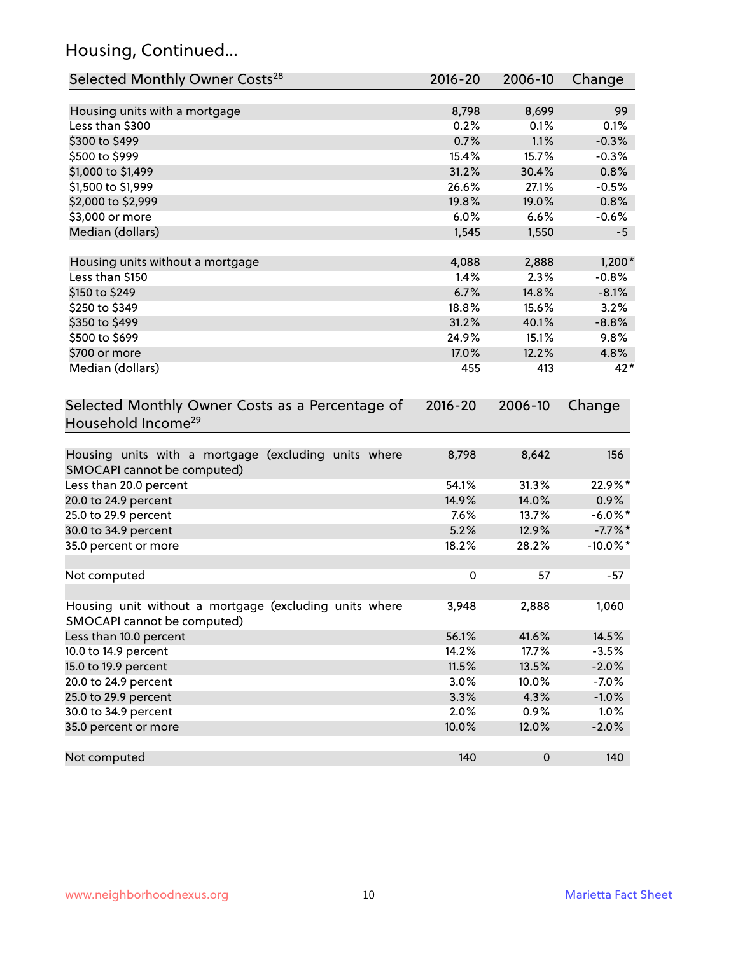# Housing, Continued...

| Selected Monthly Owner Costs <sup>28</sup>                                            | 2016-20     | 2006-10 | Change      |
|---------------------------------------------------------------------------------------|-------------|---------|-------------|
| Housing units with a mortgage                                                         | 8,798       | 8,699   | 99          |
| Less than \$300                                                                       | 0.2%        | 0.1%    | 0.1%        |
| \$300 to \$499                                                                        | 0.7%        | 1.1%    | $-0.3%$     |
| \$500 to \$999                                                                        | 15.4%       | 15.7%   | $-0.3%$     |
| \$1,000 to \$1,499                                                                    | 31.2%       | 30.4%   | 0.8%        |
| \$1,500 to \$1,999                                                                    | 26.6%       | 27.1%   | $-0.5%$     |
| \$2,000 to \$2,999                                                                    | 19.8%       | 19.0%   | 0.8%        |
| \$3,000 or more                                                                       | 6.0%        | 6.6%    | $-0.6%$     |
| Median (dollars)                                                                      | 1,545       | 1,550   | $-5$        |
| Housing units without a mortgage                                                      | 4,088       | 2,888   | $1,200*$    |
| Less than \$150                                                                       | 1.4%        | 2.3%    | $-0.8%$     |
| \$150 to \$249                                                                        | 6.7%        | 14.8%   | $-8.1%$     |
| \$250 to \$349                                                                        | 18.8%       | 15.6%   | 3.2%        |
| \$350 to \$499                                                                        | 31.2%       | 40.1%   | $-8.8%$     |
| \$500 to \$699                                                                        | 24.9%       | 15.1%   | 9.8%        |
| \$700 or more                                                                         | 17.0%       | 12.2%   | 4.8%        |
| Median (dollars)                                                                      | 455         | 413     | 42*         |
| Selected Monthly Owner Costs as a Percentage of<br>Household Income <sup>29</sup>     | $2016 - 20$ | 2006-10 | Change      |
| Housing units with a mortgage (excluding units where<br>SMOCAPI cannot be computed)   | 8,798       | 8,642   | 156         |
| Less than 20.0 percent                                                                | 54.1%       | 31.3%   | 22.9%*      |
| 20.0 to 24.9 percent                                                                  | 14.9%       | 14.0%   | $0.9\%$     |
| 25.0 to 29.9 percent                                                                  | 7.6%        | 13.7%   | $-6.0\%$ *  |
| 30.0 to 34.9 percent                                                                  | 5.2%        | 12.9%   | $-7.7\%$ *  |
| 35.0 percent or more                                                                  | 18.2%       | 28.2%   | $-10.0\%$ * |
| Not computed                                                                          | $\pmb{0}$   | 57      | $-57$       |
| Housing unit without a mortgage (excluding units where<br>SMOCAPI cannot be computed) | 3,948       | 2,888   | 1,060       |
| Less than 10.0 percent                                                                | 56.1%       | 41.6%   | 14.5%       |
| 10.0 to 14.9 percent                                                                  | 14.2%       | 17.7%   | $-3.5%$     |
| 15.0 to 19.9 percent                                                                  | 11.5%       | 13.5%   | $-2.0%$     |
| 20.0 to 24.9 percent                                                                  | 3.0%        | 10.0%   | $-7.0%$     |
| 25.0 to 29.9 percent                                                                  | 3.3%        | 4.3%    | $-1.0%$     |
| 30.0 to 34.9 percent                                                                  | 2.0%        | 0.9%    | 1.0%        |
| 35.0 percent or more                                                                  | 10.0%       | 12.0%   | $-2.0%$     |
| Not computed                                                                          | 140         | 0       | 140         |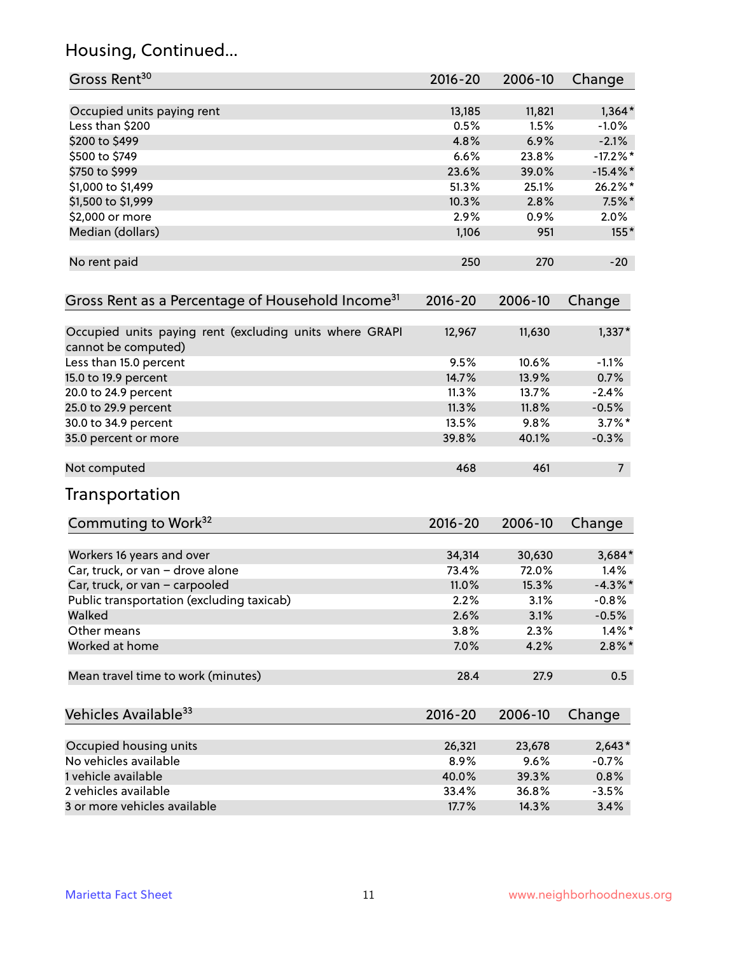# Housing, Continued...

| Gross Rent <sup>30</sup>                                                       | 2016-20     | 2006-10 | Change         |
|--------------------------------------------------------------------------------|-------------|---------|----------------|
| Occupied units paying rent                                                     | 13,185      | 11,821  | $1,364*$       |
| Less than \$200                                                                | 0.5%        | 1.5%    | $-1.0\%$       |
| \$200 to \$499                                                                 | 4.8%        | 6.9%    | $-2.1%$        |
| \$500 to \$749                                                                 | 6.6%        | 23.8%   | $-17.2\%$ *    |
| \$750 to \$999                                                                 | 23.6%       | 39.0%   | $-15.4\%$ *    |
| \$1,000 to \$1,499                                                             | 51.3%       | 25.1%   | 26.2%*         |
|                                                                                | 10.3%       | 2.8%    | $7.5%$ *       |
| \$1,500 to \$1,999<br>\$2,000 or more                                          | 2.9%        |         |                |
|                                                                                |             | 0.9%    | 2.0%           |
| Median (dollars)                                                               | 1,106       | 951     | $155*$         |
| No rent paid                                                                   | 250         | 270     | $-20$          |
| Gross Rent as a Percentage of Household Income <sup>31</sup>                   | $2016 - 20$ | 2006-10 | Change         |
| Occupied units paying rent (excluding units where GRAPI<br>cannot be computed) | 12,967      | 11,630  | $1,337*$       |
| Less than 15.0 percent                                                         | 9.5%        | 10.6%   | $-1.1%$        |
| 15.0 to 19.9 percent                                                           | 14.7%       | 13.9%   | 0.7%           |
| 20.0 to 24.9 percent                                                           | 11.3%       | 13.7%   | $-2.4%$        |
| 25.0 to 29.9 percent                                                           | 11.3%       | 11.8%   | $-0.5%$        |
| 30.0 to 34.9 percent                                                           | 13.5%       | 9.8%    | $3.7\%$ *      |
| 35.0 percent or more                                                           | 39.8%       | 40.1%   | $-0.3%$        |
| Not computed                                                                   | 468         | 461     | 7 <sup>7</sup> |
| Transportation                                                                 |             |         |                |
| Commuting to Work <sup>32</sup>                                                | 2016-20     | 2006-10 | Change         |
| Workers 16 years and over                                                      | 34,314      | 30,630  | 3,684*         |
| Car, truck, or van - drove alone                                               | 73.4%       | 72.0%   | 1.4%           |
| Car, truck, or van - carpooled                                                 | 11.0%       | 15.3%   | $-4.3\%$ *     |
| Public transportation (excluding taxicab)                                      | 2.2%        | 3.1%    | $-0.8%$        |
| Walked                                                                         | 2.6%        | 3.1%    | $-0.5%$        |
| Other means                                                                    | 3.8%        | 2.3%    | $1.4\%$ *      |
| Worked at home                                                                 | 7.0%        | 4.2%    | $2.8\%$ *      |
| Mean travel time to work (minutes)                                             | 28.4        | 27.9    | 0.5            |
| Vehicles Available <sup>33</sup>                                               | $2016 - 20$ | 2006-10 | Change         |
| Occupied housing units                                                         | 26,321      | 23,678  | $2,643*$       |
| No vehicles available                                                          | 8.9%        | 9.6%    | $-0.7%$        |
| 1 vehicle available                                                            | 40.0%       | 39.3%   | 0.8%           |
| 2 vehicles available                                                           | 33.4%       | 36.8%   | $-3.5%$        |
| 3 or more vehicles available                                                   | 17.7%       | 14.3%   | 3.4%           |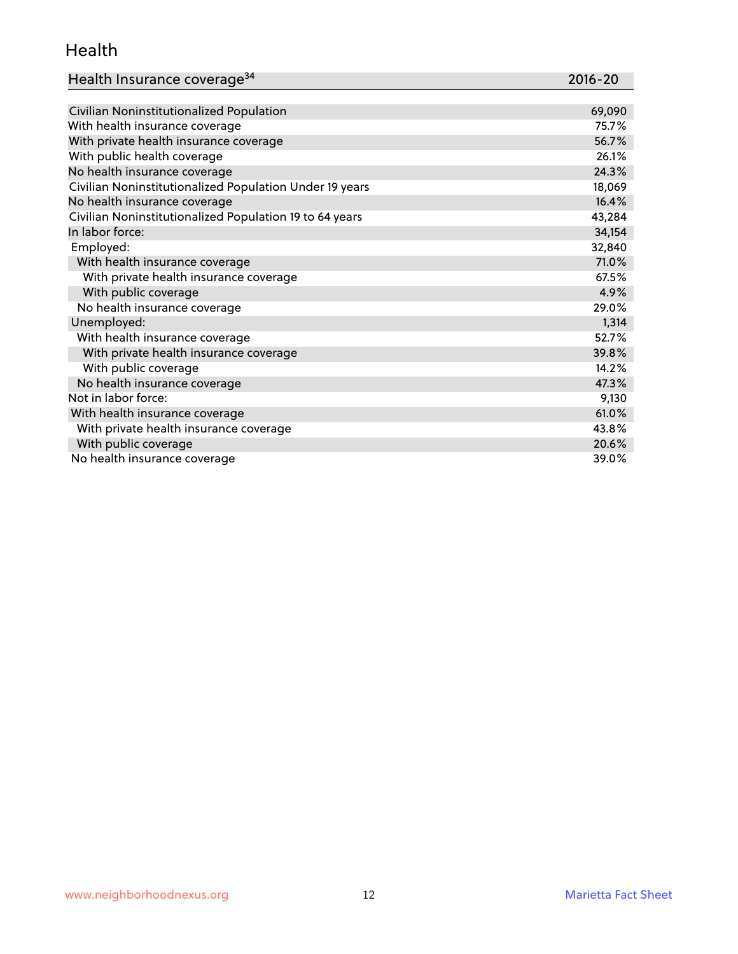#### Health

| Health Insurance coverage <sup>34</sup> | 2016-20 |
|-----------------------------------------|---------|
|-----------------------------------------|---------|

| Civilian Noninstitutionalized Population                | 69,090 |
|---------------------------------------------------------|--------|
| With health insurance coverage                          | 75.7%  |
| With private health insurance coverage                  | 56.7%  |
| With public health coverage                             | 26.1%  |
| No health insurance coverage                            | 24.3%  |
| Civilian Noninstitutionalized Population Under 19 years | 18,069 |
| No health insurance coverage                            | 16.4%  |
| Civilian Noninstitutionalized Population 19 to 64 years | 43,284 |
| In labor force:                                         | 34,154 |
| Employed:                                               | 32,840 |
| With health insurance coverage                          | 71.0%  |
| With private health insurance coverage                  | 67.5%  |
| With public coverage                                    | 4.9%   |
| No health insurance coverage                            | 29.0%  |
| Unemployed:                                             | 1,314  |
| With health insurance coverage                          | 52.7%  |
| With private health insurance coverage                  | 39.8%  |
| With public coverage                                    | 14.2%  |
| No health insurance coverage                            | 47.3%  |
| Not in labor force:                                     | 9,130  |
| With health insurance coverage                          | 61.0%  |
| With private health insurance coverage                  | 43.8%  |
| With public coverage                                    | 20.6%  |
| No health insurance coverage                            | 39.0%  |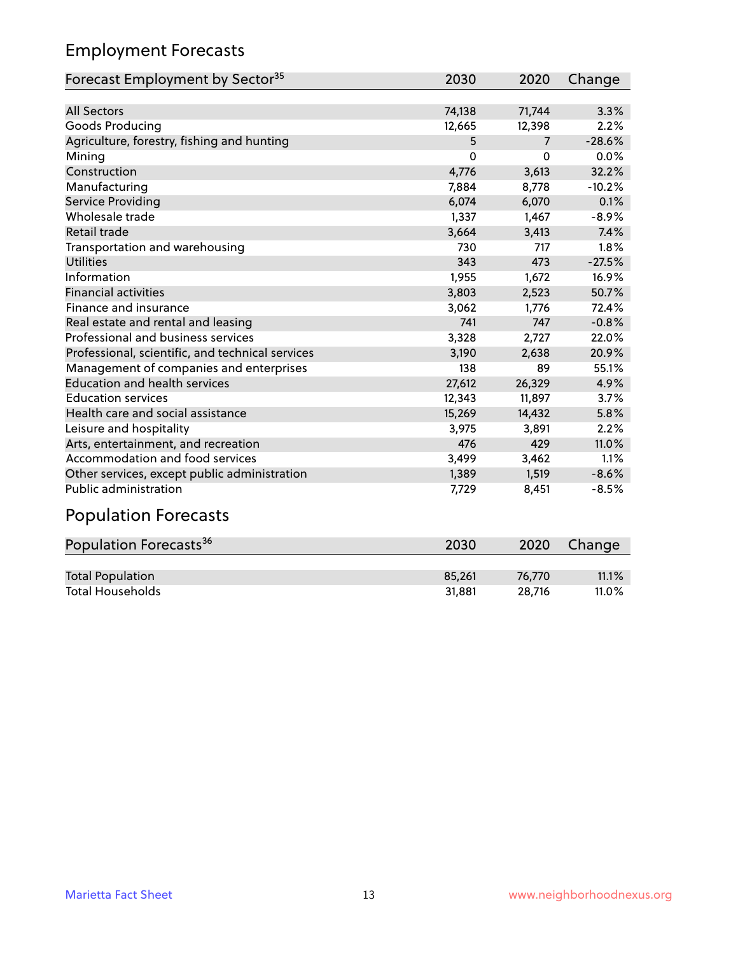# Employment Forecasts

| Forecast Employment by Sector <sup>35</sup>      | 2030   | 2020           | Change   |
|--------------------------------------------------|--------|----------------|----------|
|                                                  |        |                |          |
| <b>All Sectors</b>                               | 74,138 | 71,744         | 3.3%     |
| Goods Producing                                  | 12,665 | 12,398         | 2.2%     |
| Agriculture, forestry, fishing and hunting       | 5      | $\overline{7}$ | $-28.6%$ |
| Mining                                           | 0      | O              | 0.0%     |
| Construction                                     | 4,776  | 3,613          | 32.2%    |
| Manufacturing                                    | 7,884  | 8,778          | $-10.2%$ |
| <b>Service Providing</b>                         | 6,074  | 6,070          | 0.1%     |
| Wholesale trade                                  | 1,337  | 1,467          | $-8.9%$  |
| Retail trade                                     | 3,664  | 3,413          | 7.4%     |
| Transportation and warehousing                   | 730    | 717            | 1.8%     |
| <b>Utilities</b>                                 | 343    | 473            | $-27.5%$ |
| Information                                      | 1,955  | 1,672          | 16.9%    |
| <b>Financial activities</b>                      | 3,803  | 2,523          | 50.7%    |
| Finance and insurance                            | 3,062  | 1.776          | 72.4%    |
| Real estate and rental and leasing               | 741    | 747            | $-0.8%$  |
| Professional and business services               | 3,328  | 2,727          | 22.0%    |
| Professional, scientific, and technical services | 3,190  | 2.638          | 20.9%    |
| Management of companies and enterprises          | 138    | 89             | 55.1%    |
| <b>Education and health services</b>             | 27,612 | 26,329         | 4.9%     |
| <b>Education services</b>                        | 12,343 | 11,897         | 3.7%     |
| Health care and social assistance                | 15,269 | 14,432         | 5.8%     |
| Leisure and hospitality                          | 3,975  | 3,891          | 2.2%     |
| Arts, entertainment, and recreation              | 476    | 429            | 11.0%    |
| Accommodation and food services                  | 3,499  | 3,462          | 1.1%     |
| Other services, except public administration     | 1,389  | 1,519          | $-8.6%$  |
| Public administration                            | 7,729  | 8,451          | $-8.5%$  |

# Population Forecasts

| Population Forecasts <sup>36</sup> | 2030   | 2020   | Change |
|------------------------------------|--------|--------|--------|
|                                    |        |        |        |
| <b>Total Population</b>            | 85.261 | 76.770 | 11.1%  |
| <b>Total Households</b>            | 31.881 | 28.716 | 11.0%  |